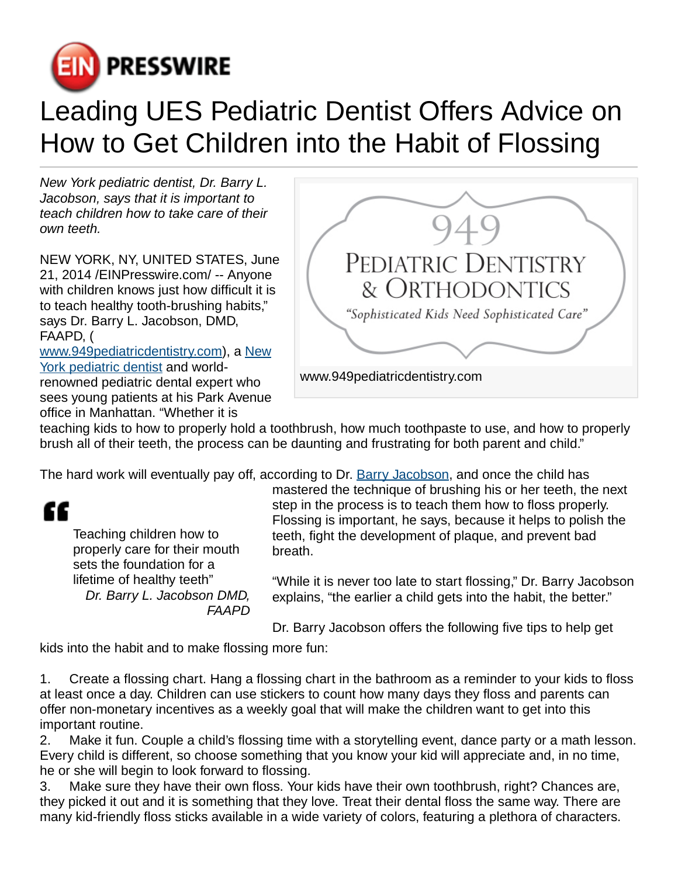

## Leading UES Pediatric Dentist Offers Advice on How to Get Children into the Habit of Flossing

New York pediatric dentist, Dr. Barry L. Jacobson, says that it is important to teach children how to take care of their own teeth.

NEW YORK, NY, UNITED STATES, June 21, 2014 [/EINPresswire.com/](http://www.einpresswire.com) -- Anyone with children knows just how difficult it is to teach healthy tooth-brushing habits," says Dr. Barry L. Jacobson, DMD, FAAPD, ( [www.949pediatricdentistry.com\)](http://www.949pediatricdentistry.com), a [New](http://www.949pediatricdentistry.com) [York pediatric dentist](http://www.949pediatricdentistry.com) and worldrenowned pediatric dental expert who sees young patients at his Park Avenue

office in Manhattan. "Whether it is



teaching kids to how to properly hold a toothbrush, how much toothpaste to use, and how to properly brush all of their teeth, the process can be daunting and frustrating for both parent and child."

The hard work will eventually pay off, according to Dr. [Barry Jacobson,](http://www.barryjacobson.com) and once the child has

## æ

Teaching children how to properly care for their mouth sets the foundation for a lifetime of healthy teeth" Dr. Barry L. Jacobson DMD, FAAPD mastered the technique of brushing his or her teeth, the next step in the process is to teach them how to floss properly. Flossing is important, he says, because it helps to polish the teeth, fight the development of plaque, and prevent bad breath.

"While it is never too late to start flossing," Dr. Barry Jacobson explains, "the earlier a child gets into the habit, the better."

Dr. Barry Jacobson offers the following five tips to help get

kids into the habit and to make flossing more fun:

1. Create a flossing chart. Hang a flossing chart in the bathroom as a reminder to your kids to floss at least once a day. Children can use stickers to count how many days they floss and parents can offer non-monetary incentives as a weekly goal that will make the children want to get into this important routine.

2. Make it fun. Couple a child's flossing time with a storytelling event, dance party or a math lesson. Every child is different, so choose something that you know your kid will appreciate and, in no time, he or she will begin to look forward to flossing.

3. Make sure they have their own floss. Your kids have their own toothbrush, right? Chances are, they picked it out and it is something that they love. Treat their dental floss the same way. There are many kid-friendly floss sticks available in a wide variety of colors, featuring a plethora of characters.